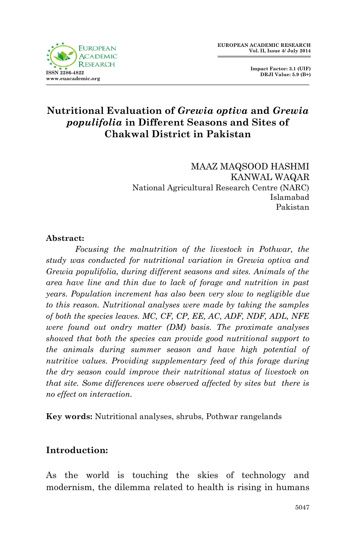

 **Impact Factor: 3.1 (UIF) DRJI Value: 5.9 (B+)**

# **Nutritional Evaluation of** *Grewia optiva* **and** *Grewia populifolia* **in Different Seasons and Sites of Chakwal District in Pakistan**

MAAZ MAQSOOD HASHMI KANWAL WAQAR National Agricultural Research Centre (NARC) Islamabad Pakistan

### **Abstract:**

Focusing the malnutrition of the livestock in Pothwar, the *study was conducted for nutritional variation in Grewia optiva and Grewia populifolia, during different seasons and sites. Animals of the area have line and thin due to lack of forage and nutrition in past years. Population increment has also been very slow to negligible due to this reason. Nutritional analyses were made by taking the samples of both the species leaves. MC, CF, CP, EE, AC, ADF, NDF, ADL, NFE were found out ondry matter (DM) basis. The proximate analyses showed that both the species can provide good nutritional support to the animals during summer season and have high potential of nutritive values. Providing supplementary feed of this forage during the dry season could improve their nutritional status of livestock on that site. Some differences were observed affected by sites but there is no effect on interaction.* 

**Key words:** Nutritional analyses, shrubs, Pothwar rangelands

## **Introduction:**

As the world is touching the skies of technology and modernism, the dilemma related to health is rising in humans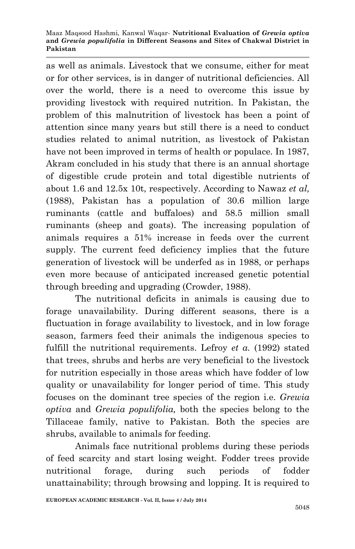#### Maaz Maqsood Hashmi, Kanwal Waqar*-* **Nutritional Evaluation of** *Grewia optiva* **and** *Grewia populifolia* **in Different Seasons and Sites of Chakwal District in Pakistan**

as well as animals. Livestock that we consume, either for meat or for other services, is in danger of nutritional deficiencies. All over the world, there is a need to overcome this issue by providing livestock with required nutrition. In Pakistan, the problem of this malnutrition of livestock has been a point of attention since many years but still there is a need to conduct studies related to animal nutrition, as livestock of Pakistan have not been improved in terms of health or populace. In 1987, Akram concluded in his study that there is an annual shortage of digestible crude protein and total digestible nutrients of about 1.6 and 12.5x 10t, respectively. According to Nawaz *et al,* (1988), Pakistan has a population of 30.6 million large ruminants (cattle and buffaloes) and 58.5 million small ruminants (sheep and goats). The increasing population of animals requires a 51% increase in feeds over the current supply. The current feed deficiency implies that the future generation of livestock will be underfed as in 1988, or perhaps even more because of anticipated increased genetic potential through breeding and upgrading (Crowder, 1988).

The nutritional deficits in animals is causing due to forage unavailability. During different seasons, there is a fluctuation in forage availability to livestock, and in low forage season, farmers feed their animals the indigenous species to fulfill the nutritional requirements. Lefroy *et a.* (1992) stated that trees, shrubs and herbs are very beneficial to the livestock for nutrition especially in those areas which have fodder of low quality or unavailability for longer period of time. This study focuses on the dominant tree species of the region i.e. *Grewia optiva* and *Grewia populifolia,* both the species belong to the Tillaceae family, native to Pakistan. Both the species are shrubs, available to animals for feeding.

Animals face nutritional problems during these periods of feed scarcity and start losing weight. Fodder trees provide nutritional forage, during such periods of fodder unattainability; through browsing and lopping. It is required to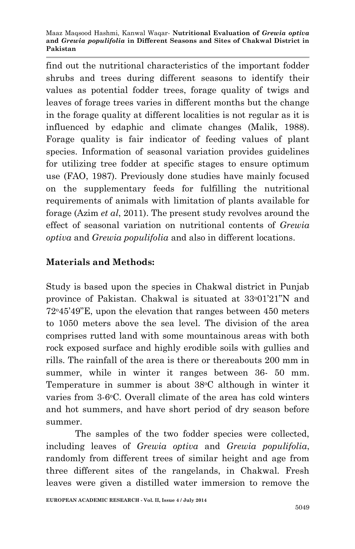Maaz Maqsood Hashmi, Kanwal Waqar*-* **Nutritional Evaluation of** *Grewia optiva* **and** *Grewia populifolia* **in Different Seasons and Sites of Chakwal District in Pakistan**

find out the nutritional characteristics of the important fodder shrubs and trees during different seasons to identify their values as potential fodder trees, forage quality of twigs and leaves of forage trees varies in different months but the change in the forage quality at different localities is not regular as it is influenced by edaphic and climate changes (Malik, 1988). Forage quality is fair indicator of feeding values of plant species. Information of seasonal variation provides guidelines for utilizing tree fodder at specific stages to ensure optimum use (FAO, 1987). Previously done studies have mainly focused on the supplementary feeds for fulfilling the nutritional requirements of animals with limitation of plants available for forage (Azim *et al*, 2011). The present study revolves around the effect of seasonal variation on nutritional contents of *Grewia optiva* and *Grewia populifolia* and also in different locations.

## **Materials and Methods:**

Study is based upon the species in Chakwal district in Punjab province of Pakistan. Chakwal is situated at 33°01'21"N and 72o45'49"E, upon the elevation that ranges between 450 meters to 1050 meters above the sea level. The division of the area comprises rutted land with some mountainous areas with both rock exposed surface and highly erodible soils with gullies and rills. The rainfall of the area is there or thereabouts 200 mm in summer, while in winter it ranges between 36- 50 mm. Temperature in summer is about 38 °C although in winter it varies from 3-6°C. Overall climate of the area has cold winters and hot summers, and have short period of dry season before summer.

The samples of the two fodder species were collected, including leaves of *Grewia optiva* and *Grewia populifolia*, randomly from different trees of similar height and age from three different sites of the rangelands, in Chakwal. Fresh leaves were given a distilled water immersion to remove the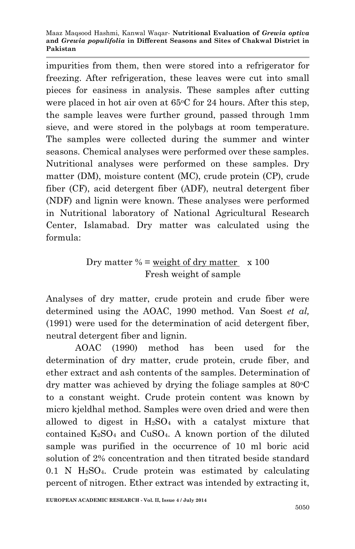impurities from them, then were stored into a refrigerator for freezing. After refrigeration, these leaves were cut into small pieces for easiness in analysis. These samples after cutting were placed in hot air oven at  $65^{\circ}$ C for 24 hours. After this step, the sample leaves were further ground, passed through 1mm sieve, and were stored in the polybags at room temperature. The samples were collected during the summer and winter seasons. Chemical analyses were performed over these samples. Nutritional analyses were performed on these samples. Dry matter (DM), moisture content (MC), crude protein (CP), crude fiber (CF), acid detergent fiber (ADF), neutral detergent fiber (NDF) and lignin were known. These analyses were performed in Nutritional laboratory of National Agricultural Research Center, Islamabad. Dry matter was calculated using the formula:

# Dry matter  $%$  = weight of dry matter  $\times 100$ Fresh weight of sample

Analyses of dry matter, crude protein and crude fiber were determined using the AOAC, 1990 method. Van Soest *et al,* (1991) were used for the determination of acid detergent fiber, neutral detergent fiber and lignin.

AOAC (1990) method has been used for the determination of dry matter, crude protein, crude fiber, and ether extract and ash contents of the samples. Determination of dry matter was achieved by drying the foliage samples at  $80^{\circ}$ C to a constant weight. Crude protein content was known by micro kjeldhal method. Samples were oven dried and were then allowed to digest in  $H_2SO_4$  with a catalyst mixture that contained  $K_2SO_4$  and  $CuSO_4$ . A known portion of the diluted sample was purified in the occurrence of 10 ml boric acid solution of 2% concentration and then titrated beside standard  $0.1$  N H<sub>2</sub>SO<sub>4</sub>. Crude protein was estimated by calculating percent of nitrogen. Ether extract was intended by extracting it,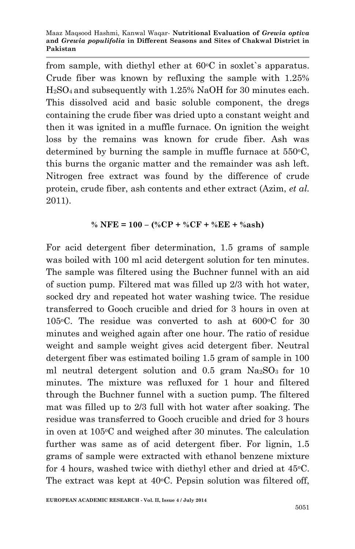from sample, with diethyl ether at  $60^{\circ}$ C in soxlet's apparatus. Crude fiber was known by refluxing the sample with 1.25% H2SO4 and subsequently with 1.25% NaOH for 30 minutes each. This dissolved acid and basic soluble component, the dregs containing the crude fiber was dried upto a constant weight and then it was ignited in a muffle furnace. On ignition the weight loss by the remains was known for crude fiber. Ash was determined by burning the sample in muffle furnace at  $550^{\circ}$ C, this burns the organic matter and the remainder was ash left. Nitrogen free extract was found by the difference of crude protein, crude fiber, ash contents and ether extract (Azim, *et al.* 2011).

## **% NFE = 100 – (%CP + %CF + %EE + %ash)**

For acid detergent fiber determination, 1.5 grams of sample was boiled with 100 ml acid detergent solution for ten minutes. The sample was filtered using the Buchner funnel with an aid of suction pump. Filtered mat was filled up 2/3 with hot water, socked dry and repeated hot water washing twice. The residue transferred to Gooch crucible and dried for 3 hours in oven at 105 $\rm ^{0}C$ . The residue was converted to ash at 600 $\rm ^{0}C$  for 30 minutes and weighed again after one hour. The ratio of residue weight and sample weight gives acid detergent fiber. Neutral detergent fiber was estimated boiling 1.5 gram of sample in 100 ml neutral detergent solution and  $0.5$  gram  $Na<sub>2</sub>SO<sub>3</sub>$  for 10 minutes. The mixture was refluxed for 1 hour and filtered through the Buchner funnel with a suction pump. The filtered mat was filled up to 2/3 full with hot water after soaking. The residue was transferred to Gooch crucible and dried for 3 hours in oven at  $105\textdegree C$  and weighed after 30 minutes. The calculation further was same as of acid detergent fiber. For lignin, 1.5 grams of sample were extracted with ethanol benzene mixture for 4 hours, washed twice with diethyl ether and dried at  $45^{\circ}$ C. The extract was kept at  $40^{\circ}$ C. Pepsin solution was filtered off,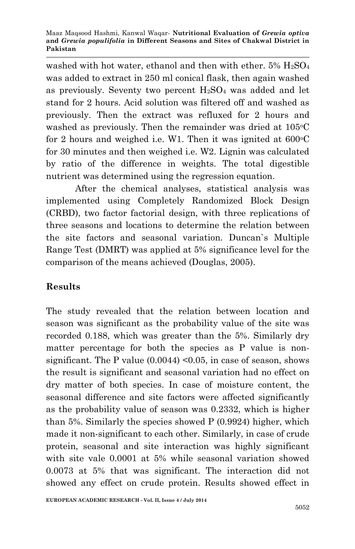washed with hot water, ethanol and then with ether.  $5\%$   $H_2SO_4$ was added to extract in 250 ml conical flask, then again washed as previously. Seventy two percent  $H_2SO_4$  was added and let stand for 2 hours. Acid solution was filtered off and washed as previously. Then the extract was refluxed for 2 hours and washed as previously. Then the remainder was dried at 105 °C for 2 hours and weighed i.e. W1. Then it was ignited at  $600\degree$ C for 30 minutes and then weighed i.e. W2. Lignin was calculated by ratio of the difference in weights. The total digestible nutrient was determined using the regression equation.

After the chemical analyses, statistical analysis was implemented using Completely Randomized Block Design (CRBD), two factor factorial design, with three replications of three seasons and locations to determine the relation between the site factors and seasonal variation. Duncan`s Multiple Range Test (DMRT) was applied at 5% significance level for the comparison of the means achieved (Douglas, 2005).

# **Results**

The study revealed that the relation between location and season was significant as the probability value of the site was recorded 0.188, which was greater than the 5%. Similarly dry matter percentage for both the species as P value is nonsignificant. The P value  $(0.0044)$  < 0.05, in case of season, shows the result is significant and seasonal variation had no effect on dry matter of both species. In case of moisture content, the seasonal difference and site factors were affected significantly as the probability value of season was 0.2332, which is higher than 5%. Similarly the species showed P (0.9924) higher, which made it non-significant to each other. Similarly, in case of crude protein, seasonal and site interaction was highly significant with site vale 0.0001 at 5% while seasonal variation showed 0.0073 at 5% that was significant. The interaction did not showed any effect on crude protein. Results showed effect in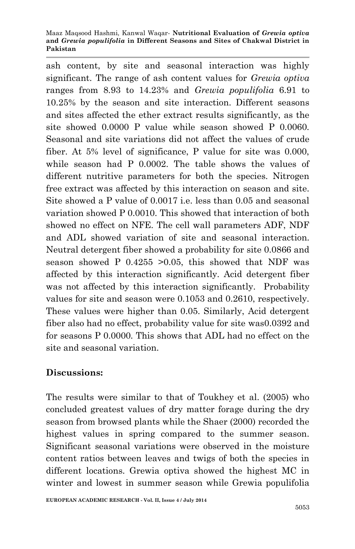#### Maaz Maqsood Hashmi, Kanwal Waqar*-* **Nutritional Evaluation of** *Grewia optiva* **and** *Grewia populifolia* **in Different Seasons and Sites of Chakwal District in Pakistan**

ash content, by site and seasonal interaction was highly significant. The range of ash content values for *Grewia optiva* ranges from 8.93 to 14.23% and *Grewia populifolia* 6.91 to 10.25% by the season and site interaction. Different seasons and sites affected the ether extract results significantly, as the site showed 0.0000 P value while season showed P 0.0060. Seasonal and site variations did not affect the values of crude fiber. At 5% level of significance, P value for site was 0.000, while season had P 0.0002. The table shows the values of different nutritive parameters for both the species. Nitrogen free extract was affected by this interaction on season and site. Site showed a P value of 0.0017 i.e. less than 0.05 and seasonal variation showed P 0.0010. This showed that interaction of both showed no effect on NFE. The cell wall parameters ADF, NDF and ADL showed variation of site and seasonal interaction. Neutral detergent fiber showed a probability for site 0.0866 and season showed P 0.4255 >0.05, this showed that NDF was affected by this interaction significantly. Acid detergent fiber was not affected by this interaction significantly. Probability values for site and season were 0.1053 and 0.2610, respectively. These values were higher than 0.05. Similarly, Acid detergent fiber also had no effect, probability value for site was0.0392 and for seasons P 0.0000. This shows that ADL had no effect on the site and seasonal variation.

# **Discussions:**

The results were similar to that of Toukhey et al. (2005) who concluded greatest values of dry matter forage during the dry season from browsed plants while the Shaer (2000) recorded the highest values in spring compared to the summer season. Significant seasonal variations were observed in the moisture content ratios between leaves and twigs of both the species in different locations. Grewia optiva showed the highest MC in winter and lowest in summer season while Grewia populifolia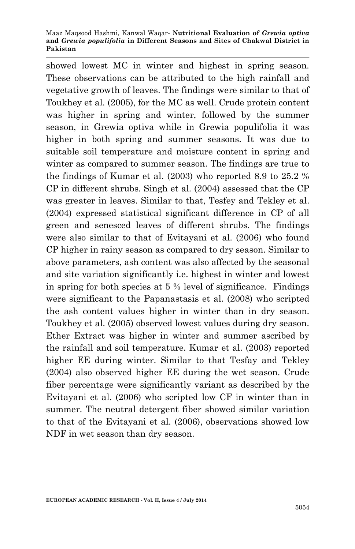showed lowest MC in winter and highest in spring season. These observations can be attributed to the high rainfall and vegetative growth of leaves. The findings were similar to that of Toukhey et al. (2005), for the MC as well. Crude protein content was higher in spring and winter, followed by the summer season, in Grewia optiva while in Grewia populifolia it was higher in both spring and summer seasons. It was due to suitable soil temperature and moisture content in spring and winter as compared to summer season. The findings are true to the findings of Kumar et al. (2003) who reported 8.9 to 25.2 % CP in different shrubs. Singh et al. (2004) assessed that the CP was greater in leaves. Similar to that, Tesfey and Tekley et al. (2004) expressed statistical significant difference in CP of all green and senesced leaves of different shrubs. The findings were also similar to that of Evitayani et al. (2006) who found CP higher in rainy season as compared to dry season. Similar to above parameters, ash content was also affected by the seasonal and site variation significantly i.e. highest in winter and lowest in spring for both species at 5 % level of significance. Findings were significant to the Papanastasis et al. (2008) who scripted the ash content values higher in winter than in dry season. Toukhey et al. (2005) observed lowest values during dry season. Ether Extract was higher in winter and summer ascribed by the rainfall and soil temperature. Kumar et al. (2003) reported higher EE during winter. Similar to that Tesfay and Tekley (2004) also observed higher EE during the wet season. Crude fiber percentage were significantly variant as described by the Evitayani et al. (2006) who scripted low CF in winter than in summer. The neutral detergent fiber showed similar variation to that of the Evitayani et al. (2006), observations showed low NDF in wet season than dry season.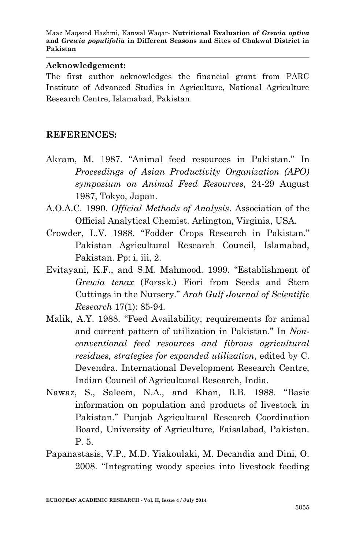### **Acknowledgement:**

The first author acknowledges the financial grant from PARC Institute of Advanced Studies in Agriculture, National Agriculture Research Centre, Islamabad, Pakistan.

## **REFERENCES:**

- Akram, M. 1987. "Animal feed resources in Pakistan." In *Proceedings of Asian Productivity Organization (APO) symposium on Animal Feed Resources*, 24-29 August 1987, Tokyo, Japan.
- A.O.A.C. 1990. *Official Methods of Analysis*. Association of the Official Analytical Chemist. Arlington, Virginia, USA.
- Crowder, L.V. 1988. "Fodder Crops Research in Pakistan." Pakistan Agricultural Research Council, Islamabad, Pakistan. Pp: i, iii, 2.
- Evitayani, K.F., and S.M. Mahmood. 1999. "Establishment of *Grewia tenax* (Forssk.) Fiori from Seeds and Stem Cuttings in the Nursery." *Arab Gulf Journal of Scientific Research* 17(1): 85-94.
- Malik, A.Y. 1988. "Feed Availability, requirements for animal and current pattern of utilization in Pakistan." In *Nonconventional feed resources and fibrous agricultural residues, strategies for expanded utilization*, edited by C. Devendra. International Development Research Centre, Indian Council of Agricultural Research, India.
- Nawaz, S., Saleem, N.A., and Khan, B.B. 1988. "Basic information on population and products of livestock in Pakistan." Punjab Agricultural Research Coordination Board, University of Agriculture, Faisalabad, Pakistan. P. 5.
- Papanastasis, V.P., M.D. Yiakoulaki, M. Decandia and Dini, O. 2008. "Integrating woody species into livestock feeding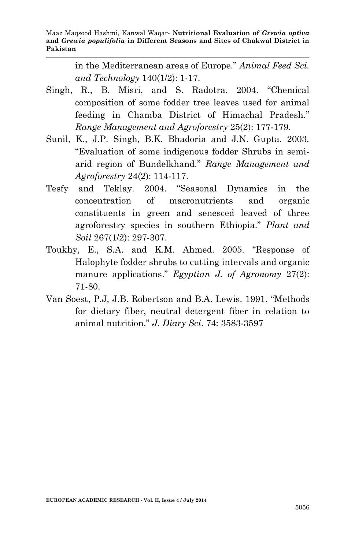in the Mediterranean areas of Europe." *Animal Feed Sci. and Technology* 140(1/2): 1-17.

- Singh, R., B. Misri, and S. Radotra. 2004. "Chemical composition of some fodder tree leaves used for animal feeding in Chamba District of Himachal Pradesh." *Range Management and Agroforestry* 25(2): 177-179.
- Sunil, K., J.P. Singh, B.K. Bhadoria and J.N. Gupta. 2003. "Evaluation of some indigenous fodder Shrubs in semiarid region of Bundelkhand." *Range Management and Agroforestry* 24(2): 114-117.
- Tesfy and Teklay. 2004. "Seasonal Dynamics in the concentration of macronutrients and organic constituents in green and senesced leaved of three agroforestry species in southern Ethiopia." *Plant and Soil* 267(1/2): 297-307.
- Toukhy, E., S.A. and K.M. Ahmed. 2005. "Response of Halophyte fodder shrubs to cutting intervals and organic manure applications." *Egyptian J. of Agronomy* 27(2): 71-80.
- Van Soest, P.J, J.B. Robertson and B.A. Lewis. 1991. "Methods for dietary fiber, neutral detergent fiber in relation to animal nutrition." *J. Diary Sci*. 74: 3583-3597